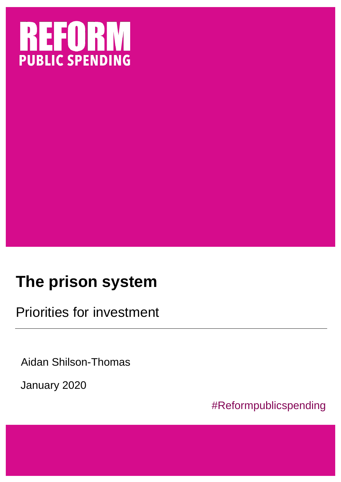

# **The prison system**

Priorities for investment

Aidan Shilson-Thomas

January 2020

#Reformpublicspending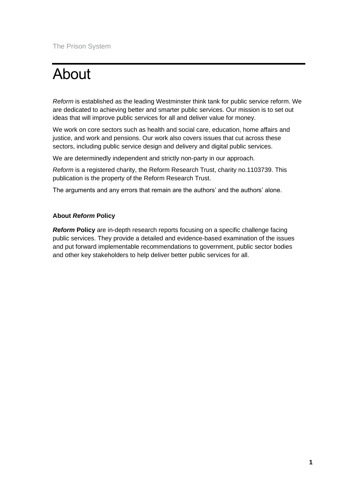# About

*Reform* is established as the leading Westminster think tank for public service reform. We are dedicated to achieving better and smarter public services. Our mission is to set out ideas that will improve public services for all and deliver value for money.

We work on core sectors such as health and social care, education, home affairs and justice, and work and pensions. Our work also covers issues that cut across these sectors, including public service design and delivery and digital public services.

We are determinedly independent and strictly non-party in our approach.

*Reform* is a registered charity, the Reform Research Trust, charity no.1103739. This publication is the property of the Reform Research Trust.

The arguments and any errors that remain are the authors' and the authors' alone.

#### **About** *Reform* **Policy**

*Reform Policy are in-depth research reports focusing on a specific challenge facing* public services. They provide a detailed and evidence-based examination of the issues and put forward implementable recommendations to government, public sector bodies and other key stakeholders to help deliver better public services for all.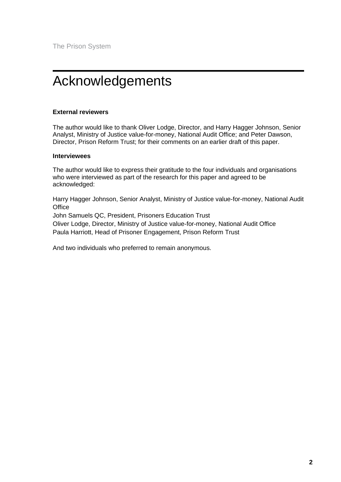# <span id="page-3-0"></span>Acknowledgements

#### **External reviewers**

The author would like to thank Oliver Lodge, Director, and Harry Hagger Johnson, Senior Analyst, Ministry of Justice value-for-money, National Audit Office; and Peter Dawson, Director, Prison Reform Trust; for their comments on an earlier draft of this paper.

#### **Interviewees**

The author would like to express their gratitude to the four individuals and organisations who were interviewed as part of the research for this paper and agreed to be acknowledged:

Harry Hagger Johnson, Senior Analyst, Ministry of Justice value-for-money, National Audit **Office** 

John Samuels QC, President, Prisoners Education Trust

Oliver Lodge, Director, Ministry of Justice value-for-money, National Audit Office Paula Harriott, Head of Prisoner Engagement, Prison Reform Trust

And two individuals who preferred to remain anonymous.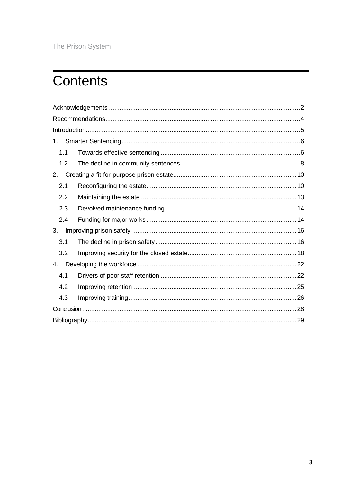## **Contents**

| 1.  |  |  |
|-----|--|--|
| 1.1 |  |  |
| 1.2 |  |  |
| 2.  |  |  |
| 2.1 |  |  |
| 2.2 |  |  |
| 2.3 |  |  |
| 2.4 |  |  |
| 3.  |  |  |
| 3.1 |  |  |
| 3.2 |  |  |
| 4.  |  |  |
| 4.1 |  |  |
| 4.2 |  |  |
| 4.3 |  |  |
|     |  |  |
|     |  |  |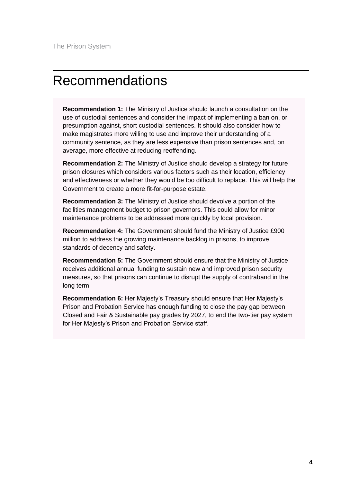## <span id="page-5-0"></span>Recommendations

**Recommendation 1:** The Ministry of Justice should launch a consultation on the use of custodial sentences and consider the impact of implementing a ban on, or presumption against, short custodial sentences. It should also consider how to make magistrates more willing to use and improve their understanding of a community sentence, as they are less expensive than prison sentences and, on average, more effective at reducing reoffending.

**Recommendation 2:** The Ministry of Justice should develop a strategy for future prison closures which considers various factors such as their location, efficiency and effectiveness or whether they would be too difficult to replace. This will help the Government to create a more fit-for-purpose estate.

**Recommendation 3:** The Ministry of Justice should devolve a portion of the facilities management budget to prison governors. This could allow for minor maintenance problems to be addressed more quickly by local provision.

**Recommendation 4:** The Government should fund the Ministry of Justice £900 million to address the growing maintenance backlog in prisons, to improve standards of decency and safety.

**Recommendation 5:** The Government should ensure that the Ministry of Justice receives additional annual funding to sustain new and improved prison security measures, so that prisons can continue to disrupt the supply of contraband in the long term.

**Recommendation 6:** Her Majesty's Treasury should ensure that Her Majesty's Prison and Probation Service has enough funding to close the pay gap between Closed and Fair & Sustainable pay grades by 2027, to end the two-tier pay system for Her Majesty's Prison and Probation Service staff.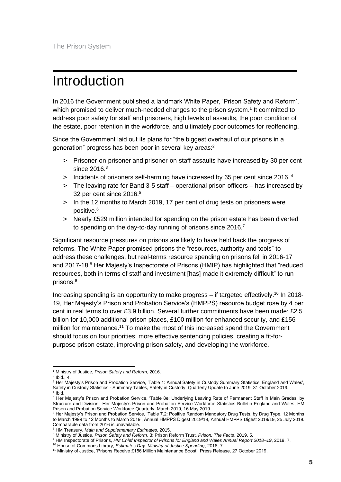## <span id="page-6-0"></span>Introduction

In 2016 the Government published a landmark White Paper, 'Prison Safety and Reform', which promised to deliver much-needed changes to the prison system.<sup>1</sup> It committed to address poor safety for staff and prisoners, high levels of assaults, the poor condition of the estate, poor retention in the workforce, and ultimately poor outcomes for reoffending.

Since the Government laid out its plans for "the biggest overhaul of our prisons in a generation" progress has been poor in several key areas:<sup>2</sup>

- > Prisoner-on-prisoner and prisoner-on-staff assaults have increased by 30 per cent since 2016. $^3$
- > Incidents of prisoners self-harming have increased by 65 per cent since 2016. <sup>4</sup>
- > The leaving rate for Band 3-5 staff operational prison officers has increased by 32 per cent since 2016.<sup>5</sup>
- > In the 12 months to March 2019, 17 per cent of drug tests on prisoners were positive.<sup>6</sup>
- > Nearly £529 million intended for spending on the prison estate has been diverted to spending on the day-to-day running of prisons since 2016.<sup>7</sup>

Significant resource pressures on prisons are likely to have held back the progress of reforms. The White Paper promised prisons the "resources, authority and tools" to address these challenges, but real-terms resource spending on prisons fell in 2016-17 and 2017-18.<sup>8</sup> Her Majesty's Inspectorate of Prisons (HMIP) has highlighted that "reduced resources, both in terms of staff and investment [has] made it extremely difficult" to run prisons.<sup>9</sup>

Increasing spending is an opportunity to make progress – if targeted effectively.<sup>10</sup> In 2018-19, Her Majesty's Prison and Probation Service's (HMPPS) resource budget rose by 4 per cent in real terms to over £3.9 billion. Several further commitments have been made: £2.5 billion for 10,000 additional prison places, £100 million for enhanced security, and £156 million for maintenance.<sup>11</sup> To make the most of this increased spend the Government should focus on four priorities: more effective sentencing policies, creating a fit-forpurpose prison estate, improving prison safety, and developing the workforce.

<sup>1</sup> Ministry of Justice, *Prison Safety and Reform*, 2016.

 $<sup>2</sup>$  lbid., 4.</sup>

<sup>&</sup>lt;sup>3</sup> Her Majesty's Prison and Probation Service, 'Table 1: Annual Safety in Custody Summary Statistics, England and Wales', Safety in Custody Statistics - Summary Tables, Safety in Custody: Quarterly Update to June 2019, 31 October 2019. 4 Ibid.

<sup>&</sup>lt;sup>5</sup> Her Majesty's Prison and Probation Service, 'Table 8e: Underlying Leaving Rate of Permanent Staff in Main Grades, by Structure and Division', Her Majesty's Prison and Probation Service Workforce Statistics Bulletin England and Wales, HM Prison and Probation Service Workforce Quarterly: March 2019, 16 May 2019.

<sup>&</sup>lt;sup>6</sup> Her Majesty's Prison and Probation Service, 'Table 7.2: Positive Random Mandatory Drug Tests, by Drug Type, 12 Months to March 1999 to 12 Months to March 2019', Annual HMPPS Digest 2019/19, Annual HMPPS Digest 2019/19, 25 July 2019. Comparable data from 2016 is unavailable.

<sup>7</sup> HM Treasury, *Main and Supplementary Estimates*, 2015.

<sup>8</sup> Ministry of Justice, *Prison Safety and Reform*, 3; Prison Reform Trust, *Prison: The Facts*, 2019, 5.

<sup>9</sup> HM Inspectorate of Prisons, *HM Chief Inspector of Prisons for England and Wales Annual Report 2018–19*, 2019, 7.

<sup>10</sup> House of Commons Library, *Estimates Day: Ministry of Justice Spending*, 2018, 7.

<sup>11</sup> Ministry of Justice, 'Prisons Receive £156 Million Maintenance Boost', Press Release, 27 October 2019.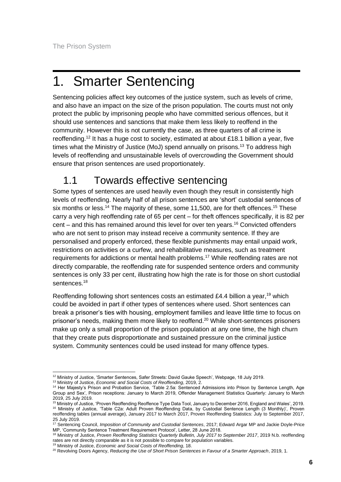# <span id="page-7-0"></span>1. Smarter Sentencing

Sentencing policies affect key outcomes of the justice system, such as levels of crime, and also have an impact on the size of the prison population. The courts must not only protect the public by imprisoning people who have committed serious offences, but it should use sentences and sanctions that make them less likely to reoffend in the community. However this is not currently the case, as three quarters of all crime is reoffending.<sup>12</sup> It has a huge cost to society, estimated at about £18.1 billion a year, five times what the Ministry of Justice (MoJ) spend annually on prisons.<sup>13</sup> To address high levels of reoffending and unsustainable levels of overcrowding the Government should ensure that prison sentences are used proportionately.

## <span id="page-7-1"></span>1.1 Towards effective sentencing

Some types of sentences are used heavily even though they result in consistently high levels of reoffending. Nearly half of all prison sentences are 'short' custodial sentences of six months or less.<sup>14</sup> The majority of these, some 11,500, are for theft offences.<sup>15</sup> These carry a very high reoffending rate of 65 per cent – for theft offences specifically, it is 82 per cent – and this has remained around this level for over ten years.<sup>16</sup> Convicted offenders who are not sent to prison may instead receive a community sentence. If they are personalised and properly enforced, these flexible punishments may entail unpaid work, restrictions on activities or a curfew, and rehabilitative measures, such as treatment requirements for addictions or mental health problems.<sup>17</sup> While reoffending rates are not directly comparable, the reoffending rate for suspended sentence orders and community sentences is only 33 per cent, illustrating how high the rate is for those on short custodial sentences.<sup>18</sup>

Reoffending following short sentences costs an estimated £4.4 billion a year,<sup>19</sup> which could be avoided in part if other types of sentences where used. Short sentences can break a prisoner's ties with housing, employment families and leave little time to focus on prisoner's needs, making them more likely to reoffend.<sup>20</sup> While short-sentences prisoners make up only a small proportion of the prison population at any one time, the high churn that they create puts disproportionate and sustained pressure on the criminal justice system. Community sentences could be used instead for many offence types.

<sup>12</sup> Ministry of Justice, 'Smarter Sentences, Safer Streets: David Gauke Speech', Webpage, 18 July 2019.

<sup>13</sup> Ministry of Justice, *Economic and Social Costs of Reoffending*, 2019, 2.

<sup>14</sup> Her Majesty's Prison and Probation Service, 'Table 2.5a: Sentenced Admissions into Prison by Sentence Length, Age Group and Sex', Prison receptions: January to March 2019, Offender Management Statistics Quarterly: January to March 2019, 25 July 2019.

<sup>15</sup> Ministry of Justice, 'Proven Reoffending Reoffence Type Data Tool, January to December 2016, England and Wales', 2019. <sup>16</sup> Ministry of Justice, 'Table C2a: Adult Proven Reoffending Data, by Custodial Sentence Length (3 Monthly)', Proven reoffending tables (annual average), January 2017 to March 2017, Proven Reoffending Statistics: July to September 2017, 25 July 2019.

<sup>17</sup> Sentencing Council, *Imposition of Community and Custodial Sentences*, 2017; Edward Argar MP and Jackie Doyle-Price MP, 'Community Sentence Treatment Requirement Protocol', Letter, 28 June 2018.

<sup>18</sup> Ministry of Justice, *Proven Reoffending Statistics Quarterly Bulletin, July 2017 to September 2017*, 2019 N.b. reoffending rates are not directly comparable as it is not possible to compare for population variables.

<sup>19</sup> Ministry of Justice, *Economic and Social Costs of Reoffending*, 18.

<sup>20</sup> Revolving Doors Agency, *Reducing the Use of Short Prison Sentences in Favour of a Smarter Approach*, 2019, 1.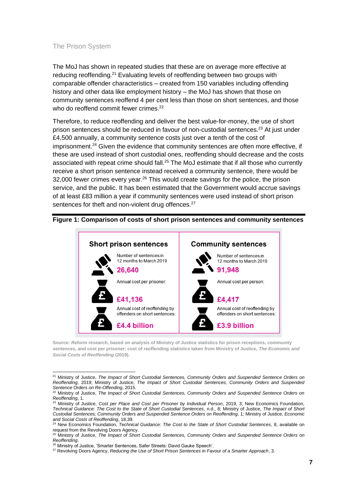The MoJ has shown in repeated studies that these are on average more effective at reducing reoffending.<sup>21</sup> Evaluating levels of reoffending between two groups with comparable offender characteristics – created from 150 variables including offending history and other data like employment history – the MoJ has shown that those on community sentences reoffend 4 per cent less than those on short sentences, and those who do reoffend commit fewer crimes.<sup>22</sup>

Therefore, to reduce reoffending and deliver the best value-for-money, the use of short prison sentences should be reduced in favour of non-custodial sentences. <sup>23</sup> At just under £4,500 annually, a community sentence costs just over a tenth of the cost of imprisonment.<sup>24</sup> Given the evidence that community sentences are often more effective, if these are used instead of short custodial ones, reoffending should decrease and the costs associated with repeat crime should fall.<sup>25</sup> The MoJ estimate that if all those who currently receive a short prison sentence instead received a community sentence, there would be 32,000 fewer crimes every year. $26$  This would create savings for the police, the prison service, and the public. It has been estimated that the Government would accrue savings of at least £83 million a year if community sentences were used instead of short prison sentences for theft and non-violent drug offences.<sup>27</sup>



#### **Figure 1: Comparison of costs of short prison sentences and community sentences**

**Source:** *Reform* **research, based on analysis of Ministry of Justice statistics for prison receptions, community sentences, and cost per prisoner; cost of reoffending statistics taken from Ministry of Justice,** *The Economic and Social Costs of Reoffending* **(2019).** 

<sup>21</sup> Ministry of Justice, *The Impact of Short Custodial Sentences, Community Orders and Suspended Sentence Orders on Reoffending*, 2019; Ministry of Justice, *The Impact of Short Custodial Sentences, Community Orders and Suspended Sentence Orders on Re-Offending*, 2015.

<sup>22</sup> Ministry of Justice, *The Impact of Short Custodial Sentences, Community Orders and Suspended Sentence Orders on Reoffending*, 1.

<sup>23</sup> Ministry of Justice, *Cost per Place and Cost per Prisoner by Individual Person*, 2019, 3; New Economics Foundation, *Technical Guidance: The Cost to the State of Short Custodial Sentences*, n.d., 8; Ministry of Justice, *The Impact of Short Custodial Sentences, Community Orders and Suspended Sentence Orders on Reoffending*, 1; Ministry of Justice, *Economic and Social Costs of Reoffending*, 18,39.

<sup>24</sup> New Economics Foundation, *Technical Guidance: The Cost to the State of Short Custodial Sentences*, 8, available on request from the Revolving Doors Agency.

<sup>25</sup> Ministry of Justice, *The Impact of Short Custodial Sentences, Community Orders and Suspended Sentence Orders on Reoffending*.

<sup>&</sup>lt;sup>26</sup> Ministry of Justice, 'Smarter Sentences, Safer Streets: David Gauke Speech'.

<sup>27</sup> Revolving Doors Agency, *Reducing the Use of Short Prison Sentences in Favour of a Smarter Approach*, 3.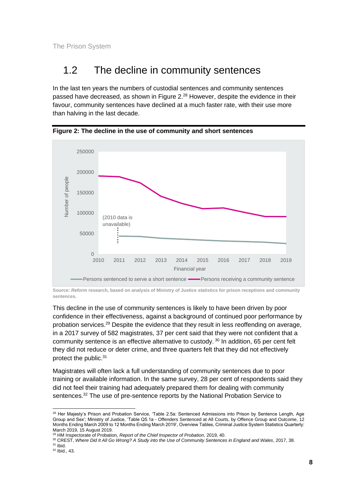## <span id="page-9-0"></span>1.2 The decline in community sentences

In the last ten years the numbers of custodial sentences and community sentences passed have decreased, as shown in Figure 2.<sup>28</sup> However, despite the evidence in their favour, community sentences have declined at a much faster rate, with their use more than halving in the last decade.



**Figure 2: The decline in the use of community and short sentences** 

**Source:** *Reform* **research, based on analysis of Ministry of Justice statistics for prison receptions and community sentences.** 

This decline in the use of community sentences is likely to have been driven by poor confidence in their effectiveness, against a background of continued poor performance by probation services.<sup>29</sup> Despite the evidence that they result in less reoffending on average, in a 2017 survey of 582 magistrates, 37 per cent said that they were not confident that a community sentence is an effective alternative to custody. <sup>30</sup> In addition, 65 per cent felt they did not reduce or deter crime, and three quarters felt that they did not effectively protect the public.<sup>31</sup>

Magistrates will often lack a full understanding of community sentences due to poor training or available information. In the same survey, 28 per cent of respondents said they did not feel their training had adequately prepared them for dealing with community sentences.<sup>32</sup> The use of pre-sentence reports by the National Probation Service to

<sup>&</sup>lt;sup>28</sup> Her Majesty's Prison and Probation Service, 'Table 2.5a: Sentenced Admissions into Prison by Sentence Length, Age Group and Sex'; Ministry of Justice, 'Table Q5.1a - Offenders Sentenced at All Courts, by Offence Group and Outcome, 12 Months Ending March 2009 to 12 Months Ending March 2019', Overview Tables, Criminal Justice System Statistics Quarterly: March 2019, 15 August 2019.

<sup>29</sup> HM Inspectorate of Probation, *Report of the Chief Inspector of Probation*, 2019, 40.

<sup>30</sup> CREST, *Where Did It All Go Wrong? A Study into the Use of Community Sentences in England and Wales*, 2017, 38.  $31$  Ibid.

<sup>32</sup> Ibid., 43.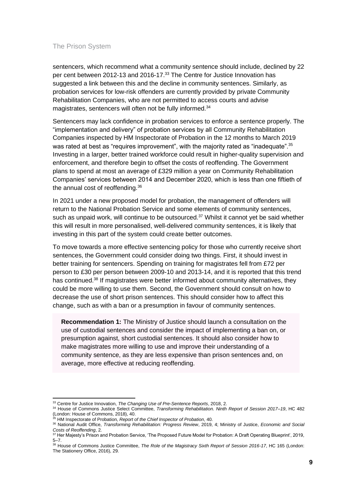sentencers, which recommend what a community sentence should include, declined by 22 per cent between 2012-13 and 2016-17.<sup>33</sup> The Centre for Justice Innovation has suggested a link between this and the decline in community sentences. Similarly, as probation services for low-risk offenders are currently provided by private Community Rehabilitation Companies, who are not permitted to access courts and advise magistrates, sentencers will often not be fully informed.<sup>34</sup>

Sentencers may lack confidence in probation services to enforce a sentence properly. The "implementation and delivery" of probation services by all Community Rehabilitation Companies inspected by HM Inspectorate of Probation in the 12 months to March 2019 was rated at best as "requires improvement", with the majority rated as "inadequate".<sup>35</sup> Investing in a larger, better trained workforce could result in higher-quality supervision and enforcement, and therefore begin to offset the costs of reoffending. The Government plans to spend at most an average of £329 million a year on Community Rehabilitation Companies' services between 2014 and December 2020, which is less than one fiftieth of the annual cost of reoffending.<sup>36</sup>

In 2021 under a new proposed model for probation, the management of offenders will return to the National Probation Service and some elements of community sentences, such as unpaid work, will continue to be outsourced.<sup>37</sup> Whilst it cannot yet be said whether this will result in more personalised, well-delivered community sentences, it is likely that investing in this part of the system could create better outcomes.

To move towards a more effective sentencing policy for those who currently receive short sentences, the Government could consider doing two things. First, it should invest in better training for sentencers. Spending on training for magistrates fell from £72 per person to £30 per person between 2009-10 and 2013-14, and it is reported that this trend has continued.<sup>38</sup> If magistrates were better informed about community alternatives, they could be more willing to use them. Second, the Government should consult on how to decrease the use of short prison sentences. This should consider how to affect this change, such as with a ban or a presumption in favour of community sentences.

**Recommendation 1:** The Ministry of Justice should launch a consultation on the use of custodial sentences and consider the impact of implementing a ban on, or presumption against, short custodial sentences. It should also consider how to make magistrates more willing to use and improve their understanding of a community sentence, as they are less expensive than prison sentences and, on average, more effective at reducing reoffending.

<sup>33</sup> Centre for Justice Innovation, *The Changing Use of Pre-Sentence Reports*, 2018, 2.

<sup>34</sup> House of Commons Justice Select Committee, *Transforming Rehabilitation. Ninth Report of Session 2017–19*, HC 482 (London: House of Commons, 2018), 40.

<sup>35</sup> HM Inspectorate of Probation, *Report of the Chief Inspector of Probation*, 40.

<sup>36</sup> National Audit Office, *Transforming Rehabilitation: Progress Review*, 2019, 4; Ministry of Justice, *Economic and Social Costs of Reoffending*, 2.

<sup>37</sup> Her Majesty's Prison and Probation Service, 'The Proposed Future Model for Probation: A Draft Operating Blueprint', 2019, 5–7.

<sup>&</sup>lt;sup>38</sup> House of Commons Justice Committee, *The Role of the Magistracy Sixth Report of Session 2016-17*, HC 165 (London: The Stationery Office, 2016), 29.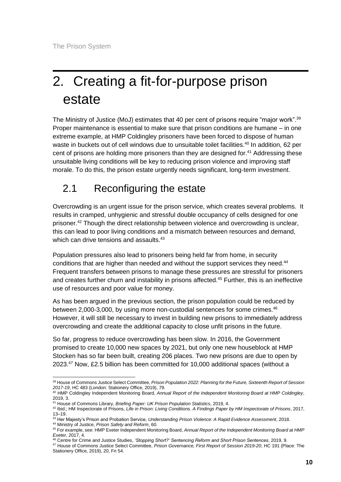# <span id="page-11-0"></span>2. Creating a fit-for-purpose prison estate

The Ministry of Justice (MoJ) estimates that 40 per cent of prisons require "major work".<sup>39</sup> Proper maintenance is essential to make sure that prison conditions are humane – in one extreme example, at HMP Coldingley prisoners have been forced to dispose of human waste in buckets out of cell windows due to unsuitable toilet facilities.<sup>40</sup> In addition, 62 per cent of prisons are holding more prisoners than they are designed for.<sup>41</sup> Addressing these unsuitable living conditions will be key to reducing prison violence and improving staff morale. To do this, the prison estate urgently needs significant, long-term investment.

## <span id="page-11-1"></span>2.1 Reconfiguring the estate

Overcrowding is an urgent issue for the prison service, which creates several problems. It results in cramped, unhygienic and stressful double occupancy of cells designed for one prisoner.<sup>42</sup> Though the direct relationship between violence and overcrowding is unclear, this can lead to poor living conditions and a mismatch between resources and demand, which can drive tensions and assaults.<sup>43</sup>

Population pressures also lead to prisoners being held far from home, in security conditions that are higher than needed and without the support services they need.<sup>44</sup> Frequent transfers between prisons to manage these pressures are stressful for prisoners and creates further churn and instability in prisons affected.<sup>45</sup> Further, this is an ineffective use of resources and poor value for money.

As has been argued in the previous section, the prison population could be reduced by between 2,000-3,000, by using more non-custodial sentences for some crimes.<sup>46</sup> However, it will still be necessary to invest in building new prisons to immediately address overcrowding and create the additional capacity to close unfit prisons in the future.

So far, progress to reduce overcrowding has been slow. In 2016, the Government promised to create 10,000 new spaces by 2021, but only one new houseblock at HMP Stocken has so far been built, creating 206 places. Two new prisons are due to open by 2023. <sup>47</sup> Now, £2.5 billion has been committed for 10,000 additional spaces (without a

<sup>39</sup> House of Commons Justice Select Committee, *Prison Population 2022: Planning for the Future, Sixteenth Report of Session 2017-19*, HC 483 (London: Stationery Office, 2019), 79.

<sup>40</sup> HMP Coldingley Independent Monitoring Board, *Annual Report of the Independent Monitoring Board at HMP Coldingley*, 2019, 3.

<sup>41</sup> House of Commons Library, *Briefing Paper: UK Prison Population Statistics*, 2019, 4.

<sup>42</sup> Ibid.; HM Inspectorate of Prisons, *Life in Prison: Living Conditions. A Findings Paper by HM Inspectorate of Prisons*, 2017, 13–19.

<sup>43</sup> Her Majesty's Prison and Probation Service, *Understanding Prison Violence: A Rapid Evidence Assessment*, 2018. <sup>44</sup> Ministry of Justice, *Prison Safety and Reform*, 60.

<sup>45</sup> For example, see: HMP Exeter Independent Monitoring Board, *Annual Report of the Independent Monitoring Board at HMP Exeter*, 2017, 4.

<sup>46</sup> Centre for Crime and Justice Studies, *'Stopping Short?' Sentencing Reform and Short Prison Sentences*, 2019, 9.

<sup>47</sup> House of Commons Justice Select Committee, *Prison Governance, First Report of Session 2019-20*, HC 191 (Place: The Stationery Office, 2019), 20, Fn 54.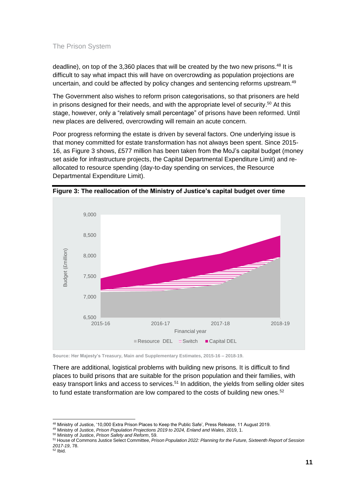deadline), on top of the 3,360 places that will be created by the two new prisons.<sup>48</sup> It is difficult to say what impact this will have on overcrowding as population projections are uncertain, and could be affected by policy changes and sentencing reforms upstream.<sup>49</sup>

The Government also wishes to reform prison categorisations, so that prisoners are held in prisons designed for their needs, and with the appropriate level of security. <sup>50</sup> At this stage, however, only a "relatively small percentage" of prisons have been reformed. Until new places are delivered, overcrowding will remain an acute concern.

Poor progress reforming the estate is driven by several factors. One underlying issue is that money committed for estate transformation has not always been spent. Since 2015- 16, as Figure 3 shows, £577 million has been taken from the MoJ's capital budget (money set aside for infrastructure projects, the Capital Departmental Expenditure Limit) and reallocated to resource spending (day-to-day spending on services, the Resource Departmental Expenditure Limit).



**Figure 3: The reallocation of the Ministry of Justice's capital budget over time**

**Source: Her Majesty's Treasury, Main and Supplementary Estimates, 2015-16 – 2018-19.** 

There are additional, logistical problems with building new prisons. It is difficult to find places to build prisons that are suitable for the prison population and their families, with easy transport links and access to services.<sup>51</sup> In addition, the yields from selling older sites to fund estate transformation are low compared to the costs of building new ones.<sup>52</sup>

<sup>49</sup> Ministry of Justice, *Prison Population Projections 2019 to 2024, Enland and Wales*, 2019, 1.

<sup>50</sup> Ministry of Justice, *Prison Safety and Reform*, 59.

<sup>48</sup> Ministry of Justice, '10,000 Extra Prison Places to Keep the Public Safe', Press Release, 11 August 2019.

<sup>51</sup> House of Commons Justice Select Committee, *Prison Population 2022: Planning for the Future, Sixteenth Report of Session 2017-19*, 78.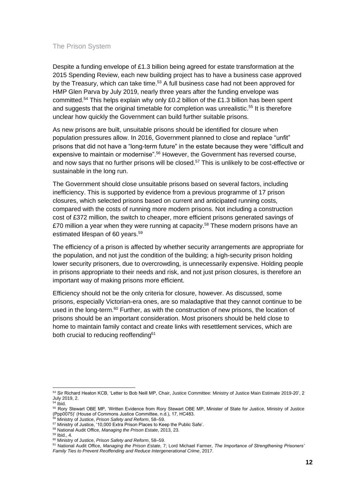Despite a funding envelope of £1.3 billion being agreed for estate transformation at the 2015 Spending Review, each new building project has to have a business case approved by the Treasury, which can take time.<sup>53</sup> A full business case had not been approved for HMP Glen Parva by July 2019, nearly three years after the funding envelope was committed.<sup>54</sup> This helps explain why only £0.2 billion of the £1.3 billion has been spent and suggests that the original timetable for completion was unrealistic.<sup>55</sup> It is therefore unclear how quickly the Government can build further suitable prisons.

As new prisons are built, unsuitable prisons should be identified for closure when population pressures allow. In 2016, Government planned to close and replace "unfit" prisons that did not have a "long-term future" in the estate because they were "difficult and expensive to maintain or modernise".<sup>56</sup> However, the Government has reversed course, and now says that no further prisons will be closed. <sup>57</sup> This is unlikely to be cost-effective or sustainable in the long run.

The Government should close unsuitable prisons based on several factors, including inefficiency. This is supported by evidence from a previous programme of 17 prison closures, which selected prisons based on current and anticipated running costs, compared with the costs of running more modern prisons. Not including a construction cost of £372 million, the switch to cheaper, more efficient prisons generated savings of £70 million a year when they were running at capacity. $58$  These modern prisons have an estimated lifespan of 60 years.<sup>59</sup>

The efficiency of a prison is affected by whether security arrangements are appropriate for the population, and not just the condition of the building; a high-security prison holding lower security prisoners, due to overcrowding, is unnecessarily expensive. Holding people in prisons appropriate to their needs and risk, and not just prison closures, is therefore an important way of making prisons more efficient.

Efficiency should not be the only criteria for closure, however. As discussed, some prisons, especially Victorian-era ones, are so maladaptive that they cannot continue to be used in the long-term.<sup>60</sup> Further, as with the construction of new prisons, the location of prisons should be an important consideration. Most prisoners should be held close to home to maintain family contact and create links with resettlement services, which are both crucial to reducing reoffending<sup>61</sup>

<sup>53</sup> Sir Richard Heaton KCB, 'Letter to Bob Neill MP, Chair, Justice Committee: Ministry of Justice Main Estimate 2019-20', 2 July 2019, 2.

 $54$  Ibid.

<sup>55</sup> Rory Stewart OBE MP, 'Written Evidence from Rory Stewart OBE MP, Minister of State for Justice, Ministry of Justice (Ppp0075)' (House of Commons Justice Committee, n.d.), 17, HC483.

<sup>56</sup> Ministry of Justice, *Prison Safety and Reform*, 58–59.

<sup>57</sup> Ministry of Justice, '10,000 Extra Prison Places to Keep the Public Safe'.

<sup>58</sup> National Audit Office, *Managing the Prison Estate*, 2013, 23.

<sup>59</sup> Ibid., 4.

<sup>60</sup> Ministry of Justice, *Prison Safety and Reform*, 58–59.

<sup>61</sup> National Audit Office, *Managing the Prison Estate*, 7; Lord Michael Farmer, *The Importance of Strengthening Prisoners' Family Ties to Prevent Reoffending and Reduce Intergenerational Crime*, 2017.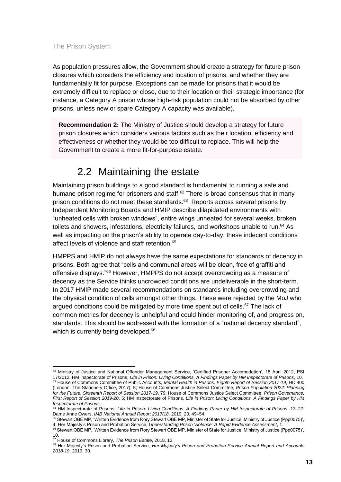As population pressures allow, the Government should create a strategy for future prison closures which considers the efficiency and location of prisons, and whether they are fundamentally fit for purpose. Exceptions can be made for prisons that it would be extremely difficult to replace or close, due to their location or their strategic importance (for instance, a Category A prison whose high-risk population could not be absorbed by other prisons, unless new or spare Category A capacity was available).

**Recommendation 2:** The Ministry of Justice should develop a strategy for future prison closures which considers various factors such as their location, efficiency and effectiveness or whether they would be too difficult to replace. This will help the Government to create a more fit-for-purpose estate.

## 2.2 Maintaining the estate

<span id="page-14-0"></span>Maintaining prison buildings to a good standard is fundamental to running a safe and humane prison regime for prisoners and staff.<sup>62</sup> There is broad consensus that in many prison conditions do not meet these standards.<sup>63</sup> Reports across several prisons by Independent Monitoring Boards and HMIP describe dilapidated environments with "unheated cells with broken windows", entire wings unheated for several weeks, broken toilets and showers, infestations, electricity failures, and workshops unable to run. <sup>64</sup> As well as impacting on the prison's ability to operate day-to-day, these indecent conditions affect levels of violence and staff retention.<sup>65</sup>

HMPPS and HMIP do not always have the same expectations for standards of decency in prisons. Both agree that "cells and communal areas will be clean, free of graffiti and offensive displays."<sup>66</sup> However, HMPPS do not accept overcrowding as a measure of decency as the Service thinks uncrowded conditions are undeliverable in the short-term. In 2017 HMIP made several recommendations on standards including overcrowding and the physical condition of cells amongst other things. These were rejected by the MoJ who argued conditions could be mitigated by more time spent out of cells.<sup>67</sup> The lack of common metrics for decency is unhelpful and could hinder monitoring of, and progress on, standards. This should be addressed with the formation of a "national decency standard", which is currently being developed.<sup>68</sup>

65 Stewart OBE MP, 'Written Evidence from Rory Stewart OBE MP, Minister of State for Justice, Ministry of Justice (Ppp0075)', 4; Her Majesty's Prison and Probation Service, *Understanding Prison Violence: A Rapid Evidence Assessment*, 1.

<sup>62</sup> Ministry of Justice and National Offender Management Service, 'Certified Prisoner Accomodation', 18 April 2012, PSI 17/2012; HM Inspectorate of Prisons, *Life in Prison: Living Conditions. A Findings Paper by HM Inspectorate of Prisons*, 10. <sup>63</sup> House of Commons Committee of Public Accounts, Mental Health in Prisons, Eighth Report of Session 2017-19, HC 400 (London: The Stationery Office, 2017), 5; House of Commons Justice Select Committee, *Prison Population 2022: Planning for the Future, Sixteenth Report of Session 2017-19*, 79; House of Commons Justice Select Committee, *Prison Governance, First Report of Session 2019-20*, 5; HM Inspectorate of Prisons, *Life in Prison: Living Conditions. A Findings Paper by HM Inspectorate of Prisons*.

<sup>64</sup> HM Inspectorate of Prisons, *Life in Prison: Living Conditions. A Findings Paper by HM Inspectorate of Prisons*, 13–27; Dame Anne Owers, *IMB National Annual Report 2017/18*, 2019, 20, 49–54.

<sup>66</sup> Stewart OBE MP, 'Written Evidence from Rory Stewart OBE MP, Minister of State for Justice, Ministry of Justice (Ppp0075)', 10.

<sup>67</sup> House of Commons Library, *The Prison Estate*, 2018, 12.

<sup>68</sup> Her Majesty's Prison and Probation Service, *Her Majesty's Prison and Probation Service Annual Report and Accounts 2018-19*, 2019, 30.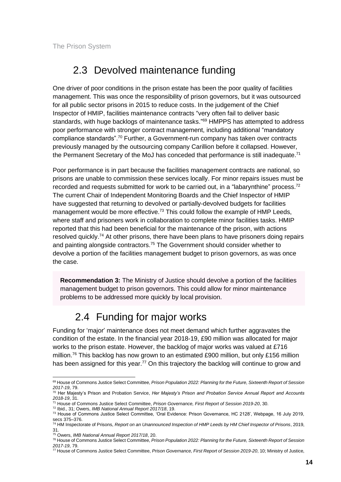### <span id="page-15-0"></span>2.3 Devolved maintenance funding

One driver of poor conditions in the prison estate has been the poor quality of facilities management. This was once the responsibility of prison governors, but it was outsourced for all public sector prisons in 2015 to reduce costs. In the judgement of the Chief Inspector of HMIP, facilities maintenance contracts "very often fail to deliver basic standards, with huge backlogs of maintenance tasks."<sup>69</sup> HMPPS has attempted to address poor performance with stronger contract management, including additional "mandatory compliance standards".<sup>70</sup> Further, a Government-run company has taken over contracts previously managed by the outsourcing company Carillion before it collapsed. However, the Permanent Secretary of the MoJ has conceded that performance is still inadequate.<sup>71</sup>

Poor performance is in part because the facilities management contracts are national, so prisons are unable to commission these services locally. For minor repairs issues must be recorded and requests submitted for work to be carried out, in a "labarynthine" process.<sup>72</sup> The current Chair of Independent Monitoring Boards and the Chief Inspector of HMIP have suggested that returning to devolved or partially-devolved budgets for facilities management would be more effective.<sup>73</sup> This could follow the example of HMP Leeds, where staff and prisoners work in collaboration to complete minor facilities tasks. HMIP reported that this had been beneficial for the maintenance of the prison, with actions resolved quickly.<sup>74</sup> At other prisons, there have been plans to have prisoners doing repairs and painting alongside contractors.<sup>75</sup> The Government should consider whether to devolve a portion of the facilities management budget to prison governors, as was once the case.

**Recommendation 3:** The Ministry of Justice should devolve a portion of the facilities management budget to prison governors. This could allow for minor maintenance problems to be addressed more quickly by local provision.

### 2.4 Funding for major works

<span id="page-15-1"></span>Funding for 'major' maintenance does not meet demand which further aggravates the condition of the estate. In the financial year 2018-19, £90 million was allocated for major works to the prison estate. However, the backlog of major works was valued at £716 million.<sup>76</sup> This backlog has now grown to an estimated £900 million, but only £156 million has been assigned for this year.<sup>77</sup> On this trajectory the backlog will continue to grow and

<sup>69</sup> House of Commons Justice Select Committee, *Prison Population 2022: Planning for the Future, Sixteenth Report of Session 2017-19*, 79.

<sup>70</sup> Her Majesty's Prison and Probation Service, *Her Majesty's Prison and Probation Service Annual Report and Accounts 2018-19*, 31.

<sup>71</sup> House of Commons Justice Select Committee, *Prison Governance, First Report of Session 2019-20*, 30.

<sup>72</sup> Ibid., 31; Owers, *IMB National Annual Report 2017/18*, 19.

<sup>73</sup> House of Commons Justice Select Committee, 'Oral Evidence: Prison Governance, HC 2128', Webpage, 16 July 2019, secs 375–376.

<sup>74</sup> HM Inspectorate of Prisons, *Report on an Unannounced Inspection of HMP Leeds by HM Chief Inspector of Prisons*, 2019, 31.

<sup>75</sup> Owers, *IMB National Annual Report 2017/18*, 20.

<sup>76</sup> House of Commons Justice Select Committee, *Prison Population 2022: Planning for the Future, Sixteenth Report of Session 2017-19*, 79.

<sup>77</sup> House of Commons Justice Select Committee, *Prison Governance, First Report of Session 2019-20*, 10; Ministry of Justice,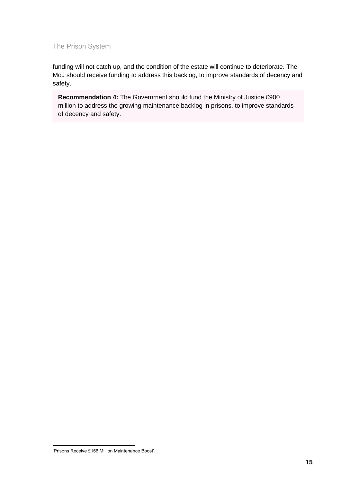funding will not catch up, and the condition of the estate will continue to deteriorate. The MoJ should receive funding to address this backlog, to improve standards of decency and safety.

**Recommendation 4:** The Government should fund the Ministry of Justice £900 million to address the growing maintenance backlog in prisons, to improve standards of decency and safety.

<sup>&#</sup>x27;Prisons Receive £156 Million Maintenance Boost'.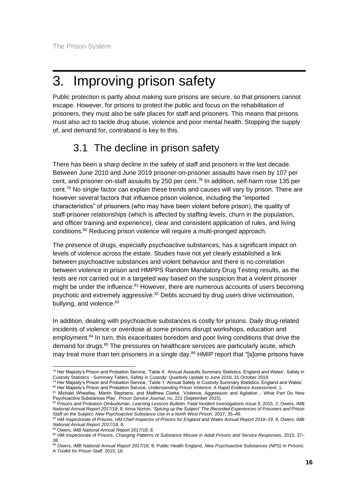# <span id="page-17-0"></span>3. Improving prison safety

Public protection is partly about making sure prisons are secure, so that prisoners cannot escape. However, for prisons to protect the public and focus on the rehabilitation of prisoners, they must also be safe places for staff and prisoners. This means that prisons must also act to tackle drug abuse, violence and poor mental health. Stopping the supply of, and demand for, contraband is key to this.

## 3.1 The decline in prison safety

<span id="page-17-1"></span>There has been a sharp decline in the safety of staff and prisoners in the last decade. Between June 2010 and June 2019 prisoner-on-prisoner assaults have risen by 107 per cent, and prisoner-on-staff assaults by 250 per cent.<sup>78</sup> In addition, self-harm rose 135 per cent.<sup>79</sup> No single factor can explain these trends and causes will vary by prison. There are however several factors that influence prison violence, including the "imported characteristics" of prisoners (who may have been violent before prison), the quality of staff-prisoner relationships (which is affected by staffing levels, churn in the population, and officer training and experience), clear and consistent application of rules, and living conditions.<sup>80</sup> Reducing prison violence will require a multi-pronged approach.

The presence of drugs, especially psychoactive substances, has a significant impact on levels of violence across the estate. Studies have not yet clearly established a link between psychoactive substances and violent behaviour and there is no correlation between violence in prison and HMPPS Random Mandatory Drug Testing results, as the tests are not carried out in a targeted way based on the suspicion that a violent prisoner might be under the influence.<sup>81</sup> However, there are numerous accounts of users becoming psychotic and extremely aggressive.<sup>82</sup> Debts accrued by drug users drive victimisation, bullying, and violence.<sup>83</sup>

In addition, dealing with psychoactive substances is costly for prisons. Daily drug-related incidents of violence or overdose at some prisons disrupt workshops, education and employment.<sup>84</sup> In turn, this exacerbates boredom and poor living conditions that drive the demand for drugs.<sup>85</sup> The pressures on healthcare services are particularly acute, which may treat more than ten prisoners in a single day.<sup>86</sup> HMIP report that "[slome prisons have

<sup>&</sup>lt;sup>78</sup> Her Majesty's Prison and Probation Service, 'Table 4: Annual Assaults Summary Statistics, England and Wales', Safety in Custody Statistics - Summary Tables, Safety in Custody: Quarterly Update to June 2019, 31 October 2019.

<sup>&</sup>lt;sup>79</sup> Her Majesty's Prison and Probation Service, 'Table 1: Annual Safety in Custody Summary Statistics, England and Wales'. <sup>80</sup> Her Majesty's Prison and Probation Service, *Understanding Prison Violence: A Rapid Evidence Assessment*, 1.

<sup>81</sup> Michael Wheatley, Martin Stephens, and Matthew Clarke, 'Violence, Aggression and Agitation - What Part Do New Psychoactive Substances Play', *Prison Service Journal*, no. 221 (September 2015).

<sup>82</sup> Prisons and Probation Ombudsman, Learning Lessons Bulletin: Fatal Incident Investigations Issue 9, 2015, 2; Owers, IMB *National Annual Report 2017/18*, 8; Anna Norton, *'Spicing up the Subject' The Recorded Experiences of Prisoners and Prison Staff on the Subject: New Psychoactive Substance Use in a North West Prison*, 2017, 35–46.

<sup>83</sup> HM Inspectorate of Prisons, *HM Chief Inspector of Prisons for England and Wales Annual Report 2018–19*, 8; Owers, *IMB National Annual Report 2017/18*, 8.

<sup>84</sup> Owers, *IMB National Annual Report 2017/18*, 8.

<sup>85</sup> HM Inspectorate of Prisons, *Changing Patterns of Substance Misuse in Adult Prisons and Service Responses*, 2015, 37– 38.

<sup>86</sup> Owers, *IMB National Annual Report 2017/18*, 8; Public Health England, *New Psychoactive Substances (NPS) in Prisons: A Toolkit for Prison Staff*, 2015, 16.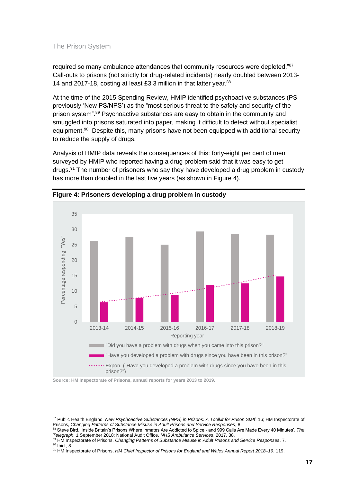required so many ambulance attendances that community resources were depleted."87 Call-outs to prisons (not strictly for drug-related incidents) nearly doubled between 2013- 14 and 2017-18, costing at least £3.3 million in that latter year.<sup>88</sup>

At the time of the 2015 Spending Review, HMIP identified psychoactive substances (PS – previously 'New PS/NPS') as the "most serious threat to the safety and security of the prison system".<sup>89</sup> Psychoactive substances are easy to obtain in the community and smuggled into prisons saturated into paper, making it difficult to detect without specialist equipment.<sup>90</sup> Despite this, many prisons have not been equipped with additional security to reduce the supply of drugs.

Analysis of HMIP data reveals the consequences of this: forty-eight per cent of men surveyed by HMIP who reported having a drug problem said that it was easy to get drugs.<sup>91</sup> The number of prisoners who say they have developed a drug problem in custody has more than doubled in the last five years (as shown in Figure 4).





**Source: HM Inspectorate of Prisons, annual reports for years 2013 to 2019.**

<sup>88</sup> Steve Bird, 'Inside Britain's Prisons Where Inmates Are Addicted to Spice - and 999 Calls Are Made Every 40 Minutes', *The Telegraph*, 1 September 2018; National Audit Office, *NHS Ambulance Services*, 2017, 38.

<sup>87</sup> Public Health England, *New Psychoactive Substances (NPS) in Prisons: A Toolkit for Prison Staff*, 16; HM Inspectorate of Prisons, *Changing Patterns of Substance Misuse in Adult Prisons and Service Responses*, 8.

<sup>89</sup> HM Inspectorate of Prisons, *Changing Patterns of Substance Misuse in Adult Prisons and Service Responses*, 7. <sup>90</sup> Ibid., 8.

<sup>91</sup> HM Inspectorate of Prisons, *HM Chief Inspector of Prisons for England and Wales Annual Report 2018–19*, 119.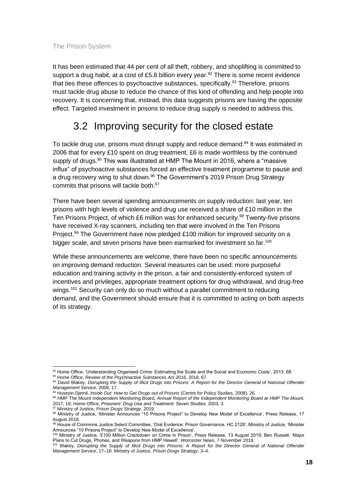It has been estimated that 44 per cent of all theft, robbery, and shoplifting is committed to support a drug habit, at a cost of £5.8 billion every year.<sup>92</sup> There is some recent evidence that ties these offences to psychoactive substances, specifically.<sup>93</sup> Therefore, prisons must tackle drug abuse to reduce the chance of this kind of offending and help people into recovery. It is concerning that, instead, this data suggests prisons are having the opposite effect. Targeted investment in prisons to reduce drug supply is needed to address this.

## <span id="page-19-0"></span>3.2 Improving security for the closed estate

To tackle drug use, prisons must disrupt supply and reduce demand.<sup>94</sup> It was estimated in 2006 that for every £10 spent on drug treatment, £6 is made worthless by the continued supply of drugs.<sup>95</sup> This was illustrated at HMP The Mount in 2016, where a "massive influx" of psychoactive substances forced an effective treatment programme to pause and a drug recovery wing to shut down.<sup>96</sup> The Government's 2019 Prison Drug Strategy commits that prisons will tackle both. 97

There have been several spending announcements on supply reduction: last year, ten prisons with high levels of violence and drug use received a share of £10 million in the Ten Prisons Project, of which £6 million was for enhanced security.<sup>98</sup> Twenty-five prisons have received X-ray scanners, including ten that were involved in the Ten Prisons Project.<sup>99</sup> The Government have now pledged £100 million for improved security on a bigger scale, and seven prisons have been earmarked for investment so far.<sup>100</sup>

While these announcements are welcome, there have been no specific announcements on improving demand reduction. Several measures can be used: more purposeful education and training activity in the prison, a fair and consistently-enforced system of incentives and privileges, appropriate treatment options for drug withdrawal, and drug-free wings.<sup>101</sup> Security can only do so much without a parallel commitment to reducing demand, and the Government should ensure that it is committed to acting on both aspects of its strategy.

<sup>97</sup> Ministry of Justice, *Prison Drugs Strategy*, 2019.

<sup>92</sup> Home Office, 'Understanding Organised Crime: Estimating the Scale and the Social and Economic Costs', 2013, 68.

<sup>93</sup> Home Office, *Review of the Psychoactive Substances Act 2016*, 2018, 67.

<sup>94</sup> David Blakey, *Disrupting the Supply of Illicit Drugs into Prisons: A Report for the Director General of National Offender Management Service*, 2008, 17.

<sup>95</sup> Huseyin Djemil, *Inside Out: How to Get Drugs out of Prisons* (Centre for Policy Studies, 2008), 26.

<sup>96</sup> HMP The Mount Independent Monitoring Board, *Annual Report of the Independent Monitoring Board at HMP The Mount*, 2017, 18; Home Office, *Prisoners' Drug Use and Treatment: Seven Studies*, 2003, 3.

<sup>98</sup> Ministry of Justice, 'Minister Announces "10 Prisons Project" to Develop New Model of Excellence', Press Release, 17 August 2018.

<sup>99</sup> House of Commons Justice Select Committee, 'Oral Evidence: Prison Governance, HC 2128'; Ministry of Justice, 'Minister Announces "10 Prisons Project" to Develop New Model of Excellence'.

<sup>100</sup> Ministry of Justice, '£100 Million Crackdown on Crime in Prison', Press Release, 13 August 2019; Ben Russell, 'Major Plans to Cut Drugs, Phones, and Weapons from HMP Hewell', *Worcester News*, 7 November 2019.

<sup>101</sup> Blakey, *Disrupting the Supply of Illicit Drugs into Prisons: A Report for the Director General of National Offender Management Service*, 17–18; Ministry of Justice, *Prison Drugs Strategy*, 3–4.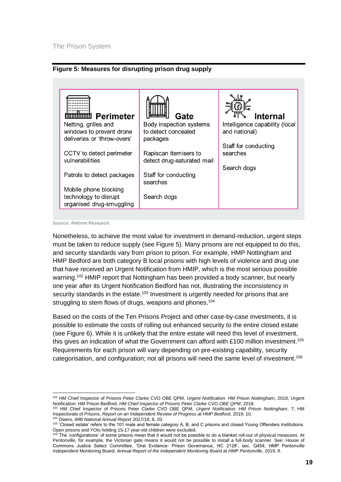



**Source:** *Reform* **Research.** 

Nonetheless, to achieve the most value for investment in demand-reduction, urgent steps must be taken to reduce supply (see Figure 5). Many prisons are not equipped to do this, and security standards vary from prison to prison. For example, HMP Nottingham and HMP Bedford are both category B local prisons with high levels of violence and drug use that have received an Urgent Notification from HMIP, which is the most serious possible warning.<sup>102</sup> HMIP report that Nottingham has been provided a body scanner, but nearly one year after its Urgent Notification Bedford has not, illustrating the inconsistency in security standards in the estate.<sup>103</sup> Investment is urgently needed for prisons that are struggling to stem flows of drugs, weapons and phones.<sup>104</sup>

Based on the costs of the Ten Prisons Project and other case-by-case investments, it is possible to estimate the costs of rolling out enhanced security to the entire closed estate (see Figure 6). While it is unlikely that the entire estate will need this level of investment, this gives an indication of what the Government can afford with £100 million investment.<sup>105</sup> Requirements for each prison will vary depending on pre-existing capability, security categorisation, and configuration; not all prisons will need the same level of investment.<sup>106</sup>

<sup>102</sup> HM Chief Inspector of Prisons Peter Clarke CVO OBE QPM, *Urgent Notification: HM Prison Nottingham*, 2018; Urgent Notification: HM Prison Bedford, *HM Chief Inspector of Prisons Peter Clarke CVO OBE QPM*, 2018.

<sup>103</sup> HM Chief Inspector of Prisons Peter Clarke CVO OBE QPM, *Urgent Notification: HM Prison Nottingham*, 7; HM Inspectorate of Prisons, *Report on an Independent Review of Progress at HMP Bedford*, 2019, 10.

<sup>104</sup> Owers, *IMB National Annual Report 2017/18*, 8, 20.

<sup>&</sup>lt;sup>105</sup> 'Closed estate' refers to the 101 male and female category A, B, and C prisons and closed Young Offenders Institutions. Open prisons and YOIs holding 15-17 year-old children were excluded.

<sup>&</sup>lt;sup>106</sup> The 'configurations' of some prisons mean that it would not be possible to do a blanket roll-out of physical measures. At Pentonville, for example, the Victorian gate means it would not be possible to install a full-body scanner. See: House of Commons Justice Select Committee, 'Oral Evidence: Prison Governance, HC 2128', sec. Q454; HMP Pentonville Independent Monitoring Board, *Annual Report of the Independent Monitoring Board at HMP Pentonville*, 2019, 9.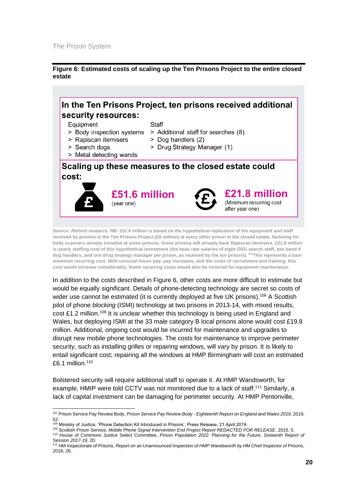**Figure 6: Estimated costs of scaling up the Ten Prisons Project to the entire closed estate**



**Source:** *Reform* **research. NB: £51.6 million is based on the hypothetical replication of the equipment and staff received by prisons in the Ten Prisons Project (£6 million) at every other prison in the closed estate, factoring for body scanners already installed at some prisons. Some prisons will already have Rapiscan itemisers. £21.8 million is yearly staffing cost of this hypothetical investment (the base rate salaries of eight OSG search staff, two band 4 dog handlers, and one drug strategy manager per prison, as received by the ten prisons). <sup>107</sup>This represents a bare minimum recurring cost. With unsocial hours pay, pay increases, and the costs of recruitment and training, this cost would increase considerably. Some recurring costs would also be incurred for equipment maintenance.**

In addition to the costs described in Figure 6, other costs are more difficult to estimate but would be equally significant. Details of phone-detecting technology are secret so costs of wider use cannot be estimated (it is currently deployed at five UK prisons).<sup>108</sup> A Scottish pilot of phone *blocking* (ISMI) technology at two prisons in 2013-14, with mixed results, cost £1.2 million.<sup>109</sup> It is unclear whether this technology is being used in England and Wales, but deploying ISMI at the 33 male category B local prisons alone would cost £19.8 million. Additional, ongoing cost would be incurred for maintenance and upgrades to disrupt new mobile phone technologies. The costs for maintenance to improve perimeter security, such as installing grilles or repairing windows, will vary by prison. It is likely to entail significant cost; repairing all the windows at HMP Birmingham will cost an estimated £6.1 million. 110

Bolstered security will require additional staff to operate it. At HMP Wandsworth, for example, HMIP were told CCTV was not monitored due to a lack of staff.<sup>111</sup> Similarly, a lack of capital investment can be damaging for perimeter security. At HMP Pentonville,

<sup>109</sup> Scottish Prison Service, *Mobile Phone Signal Intervention End Project Report REDACTED FOR RELEASE*, 2015, 5. <sup>110</sup> House of Commons Justice Select Committee, *Prison Population 2022: Planning for the Future, Sixteenth Report of Session 2017-19*, 20.

<sup>107</sup> Prison Service Pay Review Body, *Prison Service Pay Review Body - Eighteenth Report on England and Wales 2019*, 2019, 52.

<sup>108</sup> Ministry of Justice, 'Phone Detection Kit Introduced in Prisons', Press Release, 21 April 2019.

<sup>111</sup> HM Inspectorate of Prisons, *Report on an Unannounced Inspection of HMP Wandsworth by HM Chief Inspector of Prisons*, 2018, 26.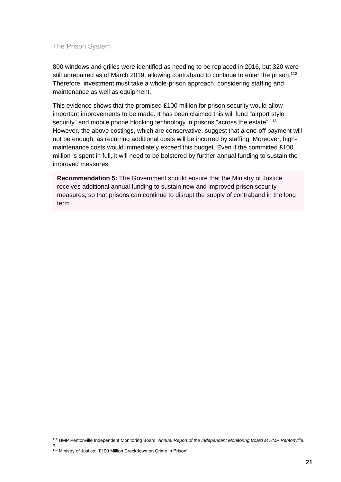800 windows and grilles were identified as needing to be replaced in 2016, but 320 were still unrepaired as of March 2019, allowing contraband to continue to enter the prison.<sup>112</sup> Therefore, investment must take a whole-prison approach, considering staffing and maintenance as well as equipment.

This evidence shows that the promised £100 million for prison security would allow important improvements to be made. It has been claimed this will fund "airport style security" and mobile phone blocking technology in prisons "across the estate".<sup>113</sup> However, the above costings, which are conservative, suggest that a one-off payment will not be enough, as recurring additional costs will be incurred by staffing. Moreover, highmaintenance costs would immediately exceed this budget. Even if the committed £100 million is spent in full, it will need to be bolstered by further annual funding to sustain the improved measures.

**Recommendation 5:** The Government should ensure that the Ministry of Justice receives additional annual funding to sustain new and improved prison security measures, so that prisons can continue to disrupt the supply of contraband in the long term.

<sup>112</sup> HMP Pentonville Independent Monitoring Board, *Annual Report of the Independent Monitoring Board at HMP Pentonville*, 9.

<sup>&</sup>lt;sup>113</sup> Ministry of Justice, '£100 Million Crackdown on Crime in Prison'.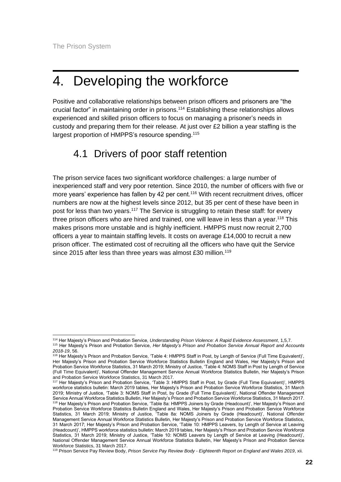## <span id="page-23-0"></span>4. Developing the workforce

Positive and collaborative relationships between prison officers and prisoners are "the crucial factor" in maintaining order in prisons.<sup>114</sup> Establishing these relationships allows experienced and skilled prison officers to focus on managing a prisoner's needs in custody and preparing them for their release. At just over £2 billion a year staffing is the largest proportion of HMPPS's resource spending.<sup>115</sup>

### <span id="page-23-1"></span>4.1 Drivers of poor staff retention

The prison service faces two significant workforce challenges: a large number of inexperienced staff and very poor retention. Since 2010, the number of officers with five or more years' experience has fallen by 42 per cent.<sup>116</sup> With recent recruitment drives, officer numbers are now at the highest levels since 2012, but 35 per cent of these have been in post for less than two years.<sup>117</sup> The Service is struggling to retain these staff: for every three prison officers who are hired and trained, one will leave in less than a year.<sup>118</sup> This makes prisons more unstable and is highly inefficient. HMPPS must now recruit 2,700 officers a year to maintain staffing levels. It costs on average £14,000 to recruit a new prison officer. The estimated cost of recruiting all the officers who have quit the Service since 2015 after less than three years was almost £30 million.<sup>119</sup>

<sup>114</sup> Her Majesty's Prison and Probation Service, *Understanding Prison Violence: A Rapid Evidence Assessment*, 1,5,7. <sup>115</sup> Her Majesty's Prison and Probation Service, *Her Majesty's Prison and Probation Service Annual Report and Accounts* 

*<sup>2018-19</sup>*, 56.

<sup>&</sup>lt;sup>116</sup> Her Majesty's Prison and Probation Service, 'Table 4: HMPPS Staff in Post, by Length of Service (Full Time Equivalent)', Her Majesty's Prison and Probation Service Workforce Statistics Bulletin England and Wales, Her Majesty's Prison and Probation Service Workforce Statistics, 31 March 2019; Ministry of Justice, 'Table 4: NOMS Staff in Post by Length of Service (Full Time Equivalent)', National Offender Management Service Annual Workforce Statistics Bulletin, Her Majesty's Prison and Probation Service Workforce Statistics, 31 March 2017.

<sup>117</sup> Her Majesty's Prison and Probation Service, 'Table 3: HMPPS Staff in Post, by Grade (Full Time Equivalent)', HMPPS workforce statistics bulletin: March 2019 tables, Her Majesty's Prison and Probation Service Workforce Statistics, 31 March 2019; Ministry of Justice, 'Table 3: NOMS Staff in Post, by Grade (Full Time Equivalent)', National Offender Management Service Annual Workforce Statistics Bulletin, Her Majesty's Prison and Probation Service Workforce Statistics, 31 March 2017. <sup>118</sup> Her Majesty's Prison and Probation Service, 'Table 8a: HMPPS Joiners by Grade (Headcount)', Her Majesty's Prison and Probation Service Workforce Statistics Bulletin England and Wales, Her Majesty's Prison and Probation Service Workforce Statistics, 31 March 2019; Ministry of Justice, 'Table 8a: NOMS Joiners by Grade (Headcount)', National Offender Management Service Annual Workforce Statistics Bulletin, Her Majesty's Prison and Probation Service Workforce Statistics, 31 March 2017; Her Majesty's Prison and Probation Service, 'Table 10: HMPPS Leavers, by Length of Service at Leaving (Headcount)', HMPPS workforce statistics bulletin: March 2019 tables, Her Majesty's Prison and Probation Service Workforce Statistics, 31 March 2019; Ministry of Justice, 'Table 10: NOMS Leavers by Length of Service at Leaving (Headcount)', National Offender Management Service Annual Workforce Statistics Bulletin, Her Majesty's Prison and Probation Service Workforce Statistics, 31 March 2017.

<sup>119</sup> Prison Service Pay Review Body, *Prison Service Pay Review Body - Eighteenth Report on England and Wales 2019*, xii.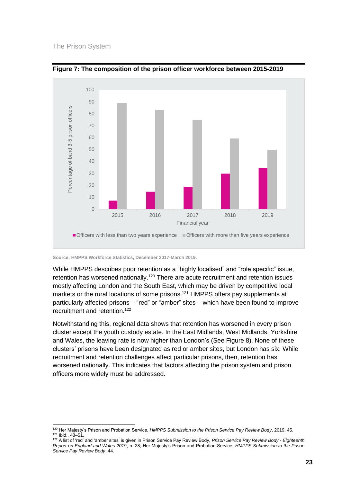



**Source: HMPPS Workforce Statistics, December 2017-March 2019.**

While HMPPS describes poor retention as a "highly localised" and "role specific" issue, retention has worsened nationally.<sup>120</sup> There are acute recruitment and retention issues mostly affecting London and the South East, which may be driven by competitive local markets or the rural locations of some prisons.<sup>121</sup> HMPPS offers pay supplements at particularly affected prisons – "red" or "amber" sites – which have been found to improve recruitment and retention.<sup>122</sup>

Notwithstanding this, regional data shows that retention has worsened in every prison cluster except the youth custody estate. In the East Midlands, West Midlands, Yorkshire and Wales, the leaving rate is now higher than London's (See [Figure 8](#page-25-0)). None of these clusters' prisons have been designated as red or amber sites, but London has six. While recruitment and retention challenges affect particular prisons, then, retention has worsened nationally. This indicates that factors affecting the prison system and prison officers more widely must be addressed.

<sup>120</sup> Her Majesty's Prison and Probation Service, *HMPPS Submission to the Prison Service Pay Review Body*, 2019, 45. <sup>121</sup> Ibid., 48–51.

<sup>122</sup> A list of 'red' and 'amber sites' is given in Prison Service Pay Review Body, *Prison Service Pay Review Body - Eighteenth Report on England and Wales 2019*, n. 28; Her Majesty's Prison and Probation Service, *HMPPS Submission to the Prison Service Pay Review Body*, 44.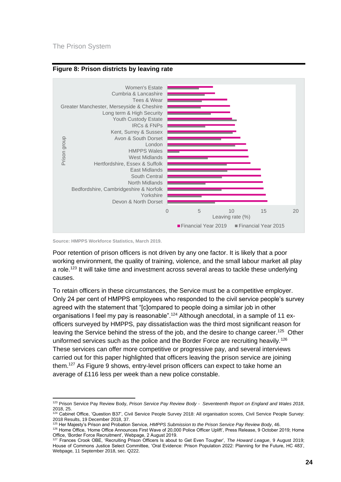

#### <span id="page-25-0"></span>**Figure 8: Prison districts by leaving rate**

**Source: HMPPS Workforce Statistics, March 2019.** 

Poor retention of prison officers is not driven by any one factor. It is likely that a poor working environment, the quality of training, violence, and the small labour market all play a role.<sup>123</sup> It will take time and investment across several areas to tackle these underlying causes.

To retain officers in these circumstances, the Service must be a competitive employer. Only 24 per cent of HMPPS employees who responded to the civil service people's survey agreed with the statement that "[c]ompared to people doing a similar job in other organisations I feel my pay is reasonable".<sup>124</sup> Although anecdotal, in a sample of 11 exofficers surveyed by HMPPS, pay dissatisfaction was the third most significant reason for leaving the Service behind the stress of the job, and the desire to change career.<sup>125</sup> Other uniformed services such as the police and the Border Force are recruiting heavily.<sup>126</sup> These services can offer more competitive or progressive pay, and several interviews carried out for this paper highlighted that officers leaving the prison service are joining them.<sup>127</sup> As Figure 9 shows, entry-level prison officers can expect to take home an average of £116 less per week than a new police constable.

<sup>123</sup> Prison Service Pay Review Body, *Prison Service Pay Review Body - Seventeenth Report on England and Wales 2018*, 2018, 25.

<sup>&</sup>lt;sup>124</sup> Cabinet Office, 'Question B37', Civil Service People Survey 2018: All organisation scores, Civil Service People Survey: 2018 Results, 19 December 2018, 37.

<sup>&</sup>lt;sup>5</sup> Her Majesty's Prison and Probation Service, *HMPPS Submission to the Prison Service Pay Review Body*, 46.

<sup>126</sup> Home Office, 'Home Office Announces First Wave of 20,000 Police Officer Uplift', Press Release, 9 October 2019; Home Office, 'Border Force Recruitment', Webpage, 2 August 2019.

<sup>127</sup> Frances Crook OBE, 'Recruiting Prison Officers Is about to Get Even Tougher', *The Howard League*, 9 August 2019; House of Commons Justice Select Committee, 'Oral Evidence: Prison Population 2022: Planning for the Future, HC 483', Webpage, 11 September 2018, sec. Q222.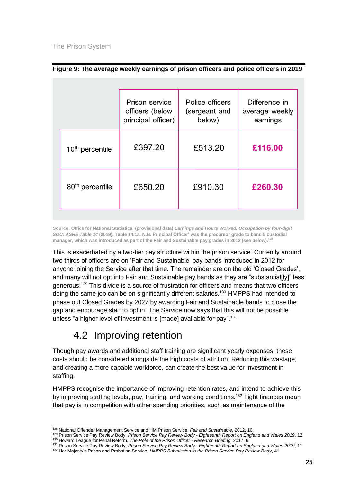|                             | Prison service<br>officers (below<br>principal officer) | Police officers<br>(sergeant and<br>below) | Difference in<br>average weekly<br>earnings |
|-----------------------------|---------------------------------------------------------|--------------------------------------------|---------------------------------------------|
| $10th$ percentile           | £397.20                                                 | £513.20                                    | £116.00                                     |
|                             |                                                         |                                            |                                             |
| 80 <sup>th</sup> percentile | £650.20                                                 | £910.30                                    | £260.30                                     |

#### **Figure 9: The average weekly earnings of prison officers and police officers in 2019**

**Source: Office for National Statistics, (provisional data)** *Earnings and Hours Worked, Occupation by four-digit SOC: ASHE Table 14* **(2019), Table 14.1a. N.B. Principal Officer' was the precursor grade to band 5 custodial manager, which was introduced as part of the Fair and Sustainable pay grades in 2012 (see below). 128**

This is exacerbated by a two-tier pay structure within the prison service. Currently around two thirds of officers are on 'Fair and Sustainable' pay bands introduced in 2012 for anyone joining the Service after that time. The remainder are on the old 'Closed Grades', and many will not opt into Fair and Sustainable pay bands as they are "substantial[ly]" less generous.<sup>129</sup> This divide is a source of frustration for officers and means that two officers doing the same job can be on significantly different salaries.<sup>130</sup> HMPPS had intended to phase out Closed Grades by 2027 by awarding Fair and Sustainable bands to close the gap and encourage staff to opt in. The Service now says that this will not be possible unless "a higher level of investment is [made] available for pay".<sup>131</sup>

### 4.2 Improving retention

<span id="page-26-0"></span>Though pay awards and additional staff training are significant yearly expenses, these costs should be considered alongside the high costs of attrition. Reducing this wastage, and creating a more capable workforce, can create the best value for investment in staffing.

HMPPS recognise the importance of improving retention rates, and intend to achieve this by improving staffing levels, pay, training, and working conditions.<sup>132</sup> Tight finances mean that pay is in competition with other spending priorities, such as maintenance of the

<sup>128</sup> National Offender Management Service and HM Prison Service, *Fair and Sustainable*, 2012, 16.

<sup>129</sup> Prison Service Pay Review Body, *Prison Service Pay Review Body - Eighteenth Report on England and Wales 2019*, 12. <sup>130</sup> Howard League for Penal Reform, *The Role of the Prison Officer - Research Briefing*, 2017, 6.

<sup>131</sup> Prison Service Pay Review Body, *Prison Service Pay Review Body - Eighteenth Report on England and Wales 2019*, 11.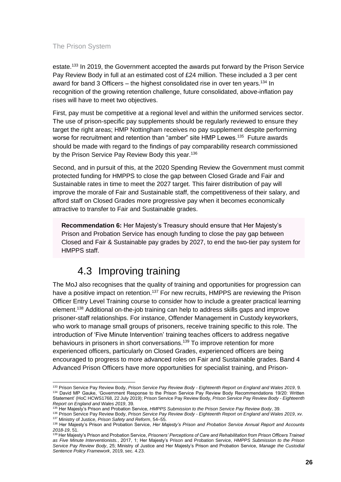estate.<sup>133</sup> In 2019, the Government accepted the awards put forward by the Prison Service Pay Review Body in full at an estimated cost of £24 million. These included a 3 per cent award for band 3 Officers – the highest consolidated rise in over ten years.<sup>134</sup> In recognition of the growing retention challenge, future consolidated, above-inflation pay rises will have to meet two objectives.

First, pay must be competitive at a regional level and within the uniformed services sector. The use of prison-specific pay supplements should be regularly reviewed to ensure they target the right areas; HMP Nottingham receives no pay supplement despite performing worse for recruitment and retention than "amber" site HMP Lewes.<sup>135</sup> Future awards should be made with regard to the findings of pay comparability research commissioned by the Prison Service Pay Review Body this year.<sup>136</sup>

Second, and in pursuit of this, at the 2020 Spending Review the Government must commit protected funding for HMPPS to close the gap between Closed Grade and Fair and Sustainable rates in time to meet the 2027 target. This fairer distribution of pay will improve the morale of Fair and Sustainable staff, the competitiveness of their salary, and afford staff on Closed Grades more progressive pay when it becomes economically attractive to transfer to Fair and Sustainable grades.

**Recommendation 6:** Her Majesty's Treasury should ensure that Her Majesty's Prison and Probation Service has enough funding to close the pay gap between Closed and Fair & Sustainable pay grades by 2027, to end the two-tier pay system for HMPPS staff.

### 4.3 Improving training

<span id="page-27-0"></span>The MoJ also recognises that the quality of training and opportunities for progression can have a positive impact on retention.<sup>137</sup> For new recruits, HMPPS are reviewing the Prison Officer Entry Level Training course to consider how to include a greater practical learning element.<sup>138</sup> Additional on-the-job training can help to address skills gaps and improve prisoner-staff relationships. For instance, Offender Management in Custody keyworkers, who work to manage small groups of prisoners, receive training specific to this role. The introduction of 'Five Minute Intervention' training teaches officers to address negative behaviours in prisoners in short conversations.<sup>139</sup> To improve retention for more experienced officers, particularly on Closed Grades, experienced officers are being encouraged to progress to more advanced roles on Fair and Sustainable grades. Band 4 Advanced Prison Officers have more opportunities for specialist training, and Prison-

<sup>133</sup> Prison Service Pay Review Body, *Prison Service Pay Review Body - Eighteenth Report on England and Wales 2019*, 9. 134 David MP Gauke, 'Government Response to the Prison Service Pay Review Body Recommendations 19/20: Written Statement' (HoC HCWS1768, 22 July 2019); Prison Service Pay Review Body, *Prison Service Pay Review Body - Eighteenth Report on England and Wales 2019*, 39.

<sup>135</sup> Her Majesty's Prison and Probation Service, *HMPPS Submission to the Prison Service Pay Review Body*, 39.

<sup>136</sup> Prison Service Pay Review Body, *Prison Service Pay Review Body - Eighteenth Report on England and Wales 2019*, xv. <sup>137</sup> Ministry of Justice, *Prison Safety and Reform*, 54–55.

<sup>138</sup> Her Majesty's Prison and Probation Service, *Her Majesty's Prison and Probation Service Annual Report and Accounts 2018-19*, 51.

<sup>139</sup> Her Majesty's Prison and Probation Service, *Prisoners' Perceptions of Care and Rehabilitation from Prison Officers Trained as Five Minute Interventionists.*, 2017, 1; Her Majesty's Prison and Probation Service, *HMPPS Submission to the Prison Service Pay Review Body*, 25; Ministry of Justice and Her Majesty's Prison and Probation Service, *Manage the Custodial Sentence Policy Framework*, 2019, sec. 4.23.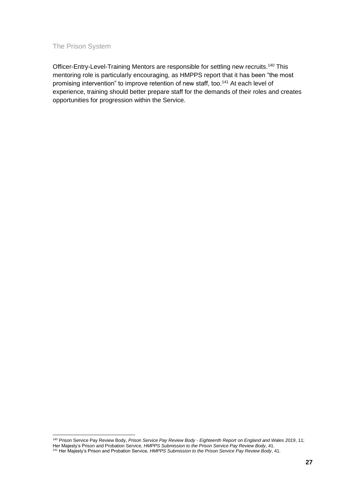Officer-Entry-Level-Training Mentors are responsible for settling new recruits.<sup>140</sup> This mentoring role is particularly encouraging, as HMPPS report that it has been "the most promising intervention" to improve retention of new staff, too.<sup>141</sup> At each level of experience, training should better prepare staff for the demands of their roles and creates opportunities for progression within the Service.

<sup>140</sup> Prison Service Pay Review Body, *Prison Service Pay Review Body - Eighteenth Report on England and Wales 2019*, 11; Her Majesty's Prison and Probation Service, *HMPPS Submission to the Prison Service Pay Review Body*, 41. <sup>141</sup> Her Majesty's Prison and Probation Service, *HMPPS Submission to the Prison Service Pay Review Body*, 41.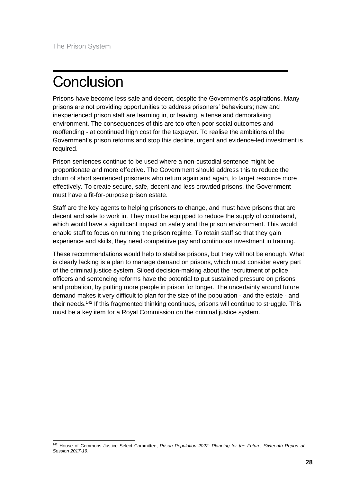# <span id="page-29-0"></span>**Conclusion**

Prisons have become less safe and decent, despite the Government's aspirations. Many prisons are not providing opportunities to address prisoners' behaviours; new and inexperienced prison staff are learning in, or leaving, a tense and demoralising environment. The consequences of this are too often poor social outcomes and reoffending - at continued high cost for the taxpayer. To realise the ambitions of the Government's prison reforms and stop this decline, urgent and evidence-led investment is required.

Prison sentences continue to be used where a non-custodial sentence might be proportionate and more effective. The Government should address this to reduce the churn of short sentenced prisoners who return again and again, to target resource more effectively. To create secure, safe, decent and less crowded prisons, the Government must have a fit-for-purpose prison estate.

Staff are the key agents to helping prisoners to change, and must have prisons that are decent and safe to work in. They must be equipped to reduce the supply of contraband, which would have a significant impact on safety and the prison environment. This would enable staff to focus on running the prison regime. To retain staff so that they gain experience and skills, they need competitive pay and continuous investment in training.

These recommendations would help to stabilise prisons, but they will not be enough. What is clearly lacking is a plan to manage demand on prisons, which must consider every part of the criminal justice system. Siloed decision-making about the recruitment of police officers and sentencing reforms have the potential to put sustained pressure on prisons and probation, by putting more people in prison for longer. The uncertainty around future demand makes it very difficult to plan for the size of the population - and the estate - and their needs.<sup>142</sup> If this fragmented thinking continues, prisons will continue to struggle. This must be a key item for a Royal Commission on the criminal justice system.

<sup>&</sup>lt;sup>142</sup> House of Commons Justice Select Committee, Prison Population 2022: Planning for the Future, Sixteenth Report of *Session 2017-19*.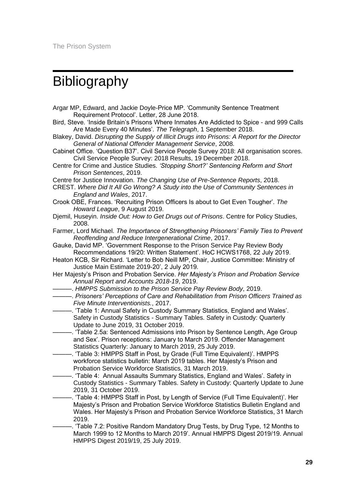## <span id="page-30-0"></span>**Bibliography**

- Argar MP, Edward, and Jackie Doyle-Price MP. 'Community Sentence Treatment Requirement Protocol'. Letter, 28 June 2018.
- Bird, Steve. 'Inside Britain's Prisons Where Inmates Are Addicted to Spice and 999 Calls Are Made Every 40 Minutes'. *The Telegraph*, 1 September 2018.
- Blakey, David. *Disrupting the Supply of Illicit Drugs into Prisons: A Report for the Director General of National Offender Management Service*, 2008.
- Cabinet Office. 'Question B37'. Civil Service People Survey 2018: All organisation scores. Civil Service People Survey: 2018 Results, 19 December 2018.
- Centre for Crime and Justice Studies. *'Stopping Short?' Sentencing Reform and Short Prison Sentences*, 2019.
- Centre for Justice Innovation. *The Changing Use of Pre-Sentence Reports*, 2018.
- CREST. *Where Did It All Go Wrong? A Study into the Use of Community Sentences in England and Wales*, 2017.
- Crook OBE, Frances. 'Recruiting Prison Officers Is about to Get Even Tougher'. *The Howard League*, 9 August 2019.
- Djemil, Huseyin. *Inside Out: How to Get Drugs out of Prisons*. Centre for Policy Studies, 2008.
- Farmer, Lord Michael. *The Importance of Strengthening Prisoners' Family Ties to Prevent Reoffending and Reduce Intergenerational Crime*, 2017.
- Gauke, David MP. 'Government Response to the Prison Service Pay Review Body Recommendations 19/20: Written Statement'. HoC HCWS1768, 22 July 2019.
- Heaton KCB, Sir Richard. 'Letter to Bob Neill MP, Chair, Justice Committee: Ministry of Justice Main Estimate 2019-20', 2 July 2019.
- Her Majesty's Prison and Probation Service. *Her Majesty's Prison and Probation Service Annual Report and Accounts 2018-19*, 2019.
	- ———. *HMPPS Submission to the Prison Service Pay Review Body*, 2019.
- ———. *Prisoners' Perceptions of Care and Rehabilitation from Prison Officers Trained as Five Minute Interventionists.*, 2017.
- $-$ . 'Table 1: Annual Safety in Custody Summary Statistics, England and Wales'. Safety in Custody Statistics - Summary Tables. Safety in Custody: Quarterly Update to June 2019, 31 October 2019.
- ———. 'Table 2.5a: Sentenced Admissions into Prison by Sentence Length, Age Group and Sex'. Prison receptions: January to March 2019. Offender Management Statistics Quarterly: January to March 2019, 25 July 2019.
- $-$ . 'Table 3: HMPPS Staff in Post, by Grade (Full Time Equivalent)'. HMPPS workforce statistics bulletin: March 2019 tables. Her Majesty's Prison and Probation Service Workforce Statistics, 31 March 2019.
- ———. 'Table 4: Annual Assaults Summary Statistics, England and Wales'. Safety in Custody Statistics - Summary Tables. Safety in Custody: Quarterly Update to June 2019, 31 October 2019.
- -. 'Table 4: HMPPS Staff in Post, by Length of Service (Full Time Equivalent)'. Her Majesty's Prison and Probation Service Workforce Statistics Bulletin England and Wales. Her Majesty's Prison and Probation Service Workforce Statistics, 31 March 2019.
- -. 'Table 7.2: Positive Random Mandatory Drug Tests, by Drug Type, 12 Months to March 1999 to 12 Months to March 2019'. Annual HMPPS Digest 2019/19. Annual HMPPS Digest 2019/19, 25 July 2019.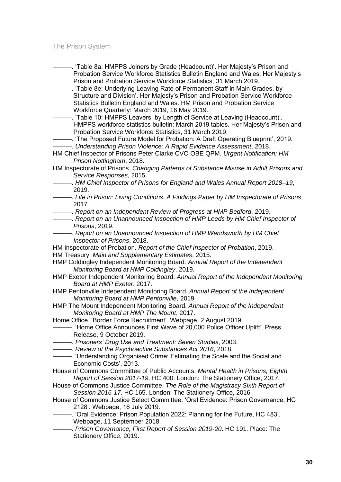| -. 'Table 8a: HMPPS Joiners by Grade (Headcount)'. Her Majesty's Prison and                                                                       |
|---------------------------------------------------------------------------------------------------------------------------------------------------|
| Probation Service Workforce Statistics Bulletin England and Wales. Her Majesty's                                                                  |
| Prison and Probation Service Workforce Statistics, 31 March 2019.                                                                                 |
| -. 'Table 8e: Underlying Leaving Rate of Permanent Staff in Main Grades, by                                                                       |
| Structure and Division'. Her Majesty's Prison and Probation Service Workforce                                                                     |
| Statistics Bulletin England and Wales. HM Prison and Probation Service                                                                            |
| Workforce Quarterly: March 2019, 16 May 2019.                                                                                                     |
| -. 'Table 10: HMPPS Leavers, by Length of Service at Leaving (Headcount)'.                                                                        |
| HMPPS workforce statistics bulletin: March 2019 tables. Her Majesty's Prison and                                                                  |
| Probation Service Workforce Statistics, 31 March 2019.                                                                                            |
| -. 'The Proposed Future Model for Probation: A Draft Operating Blueprint', 2019.                                                                  |
| -----------. Understanding Prison Violence: A Rapid Evidence Assessment, 2018.                                                                    |
| HM Chief Inspector of Prisons Peter Clarke CVO OBE QPM. Urgent Notification: HM                                                                   |
| Prison Nottingham, 2018.                                                                                                                          |
| HM Inspectorate of Prisons. Changing Patterns of Substance Misuse in Adult Prisons and                                                            |
| Service Responses, 2015.<br>-. HM Chief Inspector of Prisons for England and Wales Annual Report 2018-19,                                         |
| 2019.                                                                                                                                             |
| ------------. Life in Prison: Living Conditions. A Findings Paper by HM Inspectorate of Prisons,                                                  |
| 2017.                                                                                                                                             |
| ------------. Report on an Independent Review of Progress at HMP Bedford, 2019.                                                                   |
| ----------. Report on an Unannounced Inspection of HMP Leeds by HM Chief Inspector of                                                             |
| Prisons, 2019.                                                                                                                                    |
| ----- Report on an Unannounced Inspection of HMP Wandsworth by HM Chief                                                                           |
| Inspector of Prisons, 2018.                                                                                                                       |
| HM Inspectorate of Probation. Report of the Chief Inspector of Probation, 2019.                                                                   |
| HM Treasury. Main and Supplementary Estimates, 2015.                                                                                              |
| HMP Coldingley Independent Monitoring Board. Annual Report of the Independent                                                                     |
| Monitoring Board at HMP Coldingley, 2019.                                                                                                         |
| HMP Exeter Independent Monitoring Board. Annual Report of the Independent Monitoring<br>Board at HMP Exeter, 2017.                                |
| HMP Pentonville Independent Monitoring Board. Annual Report of the Independent                                                                    |
| Monitoring Board at HMP Pentonville, 2019.                                                                                                        |
| HMP The Mount Independent Monitoring Board. Annual Report of the Independent                                                                      |
| Monitoring Board at HMP The Mount, 2017.                                                                                                          |
| Home Office. 'Border Force Recruitment'. Webpage, 2 August 2019.                                                                                  |
| - 'Home Office Announces First Wave of 20,000 Police Officer Uplift'. Press                                                                       |
| Release, 9 October 2019.                                                                                                                          |
| ------------. Prisoners' Drug Use and Treatment: Seven Studies, 2003.                                                                             |
| -----------. Review of the Psychoactive Substances Act 2016, 2018.                                                                                |
|                                                                                                                                                   |
| Economic Costs', 2013.                                                                                                                            |
| House of Commons Committee of Public Accounts. Mental Health in Prisons, Eighth                                                                   |
| Report of Session 2017-19. HC 400. London: The Stationery Office, 2017.                                                                           |
| House of Commons Justice Committee. The Role of the Magistracy Sixth Report of                                                                    |
| Session 2016-17. HC 165. London: The Stationery Office, 2016.<br>House of Commons Justice Select Committee. 'Oral Evidence: Prison Governance, HC |
| 2128'. Webpage, 16 July 2019.                                                                                                                     |
| -. 'Oral Evidence: Prison Population 2022: Planning for the Future, HC 483'.                                                                      |
| Webpage, 11 September 2018.                                                                                                                       |
| - Prison Governance, First Report of Session 2019-20. HC 191. Place: The                                                                          |
| Stationery Office, 2019.                                                                                                                          |

**30**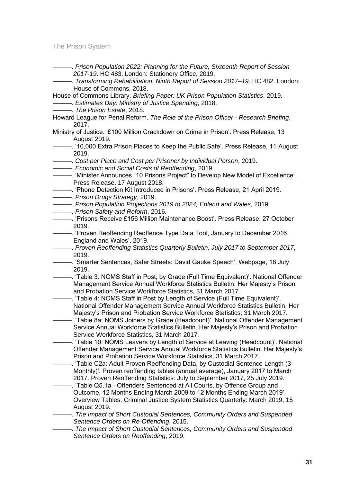| -----------. Prison Population 2022: Planning for the Future, Sixteenth Report of Session                                                                  |  |
|------------------------------------------------------------------------------------------------------------------------------------------------------------|--|
| 2017-19. HC 483. London: Stationery Office, 2019.                                                                                                          |  |
|                                                                                                                                                            |  |
| House of Commons, 2018.                                                                                                                                    |  |
| House of Commons Library. Briefing Paper: UK Prison Population Statistics, 2019.                                                                           |  |
| -------------- Estimates Day: Ministry of Justice Spending, 2018.                                                                                          |  |
| - The Prison Estate, 2018.                                                                                                                                 |  |
| Howard League for Penal Reform. The Role of the Prison Officer - Research Briefing,                                                                        |  |
| 2017.                                                                                                                                                      |  |
| Ministry of Justice. '£100 Million Crackdown on Crime in Prison'. Press Release, 13                                                                        |  |
| August 2019.                                                                                                                                               |  |
| ----------------- '10,000 Extra Prison Places to Keep the Public Safe'. Press Release, 11 August                                                           |  |
| 2019.                                                                                                                                                      |  |
| ------------. Cost per Place and Cost per Prisoner by Individual Person, 2019.                                                                             |  |
| -------------- Economic and Social Costs of Reoffending, 2019.                                                                                             |  |
|                                                                                                                                                            |  |
| Press Release, 17 August 2018.                                                                                                                             |  |
|                                                                                                                                                            |  |
| - Prison Drugs Strategy, 2019.                                                                                                                             |  |
| -------------. Prison Population Projections 2019 to 2024, Enland and Wales, 2019.                                                                         |  |
| - Prison Safety and Reform, 2016.                                                                                                                          |  |
|                                                                                                                                                            |  |
| 2019.                                                                                                                                                      |  |
|                                                                                                                                                            |  |
| England and Wales', 2019.                                                                                                                                  |  |
| ------------. Proven Reoffending Statistics Quarterly Bulletin, July 2017 to September 2017,                                                               |  |
| 2019.                                                                                                                                                      |  |
| - Smarter Sentences, Safer Streets: David Gauke Speech'. Webpage, 18 July                                                                                  |  |
| 2019.                                                                                                                                                      |  |
|                                                                                                                                                            |  |
| Management Service Annual Workforce Statistics Bulletin. Her Majesty's Prison                                                                              |  |
| and Probation Service Workforce Statistics, 31 March 2017.                                                                                                 |  |
| -. 'Table 4: NOMS Staff in Post by Length of Service (Full Time Equivalent)'.                                                                              |  |
| National Offender Management Service Annual Workforce Statistics Bulletin. Her                                                                             |  |
| Majesty's Prison and Probation Service Workforce Statistics, 31 March 2017.                                                                                |  |
| . 'Table 8a: NOMS Joiners by Grade (Headcount)'. National Offender Management                                                                              |  |
| Service Annual Workforce Statistics Bulletin. Her Majesty's Prison and Probation                                                                           |  |
| Service Workforce Statistics, 31 March 2017.                                                                                                               |  |
| -. 'Table 10: NOMS Leavers by Length of Service at Leaving (Headcount)'. National                                                                          |  |
| Offender Management Service Annual Workforce Statistics Bulletin. Her Majesty's                                                                            |  |
| Prison and Probation Service Workforce Statistics, 31 March 2017.                                                                                          |  |
| - 'Table C2a: Adult Proven Reoffending Data, by Custodial Sentence Length (3                                                                               |  |
| Monthly)'. Proven reoffending tables (annual average), January 2017 to March<br>2017. Proven Reoffending Statistics: July to September 2017, 25 July 2019. |  |
|                                                                                                                                                            |  |
| -. 'Table Q5.1a - Offenders Sentenced at All Courts, by Offence Group and<br>Outcome, 12 Months Ending March 2009 to 12 Months Ending March 2019'.         |  |
| Overview Tables. Criminal Justice System Statistics Quarterly: March 2019, 15                                                                              |  |
| August 2019.                                                                                                                                               |  |
| -. The Impact of Short Custodial Sentences, Community Orders and Suspended                                                                                 |  |
| Sentence Orders on Re-Offending, 2015.                                                                                                                     |  |
| - The Impact of Short Custodial Sentences, Community Orders and Suspended                                                                                  |  |
| Sentence Orders on Reoffending, 2019.                                                                                                                      |  |
|                                                                                                                                                            |  |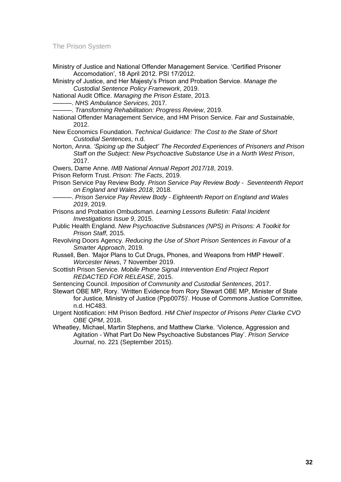Ministry of Justice and National Offender Management Service. 'Certified Prisoner Accomodation', 18 April 2012. PSI 17/2012.

Ministry of Justice, and Her Majesty's Prison and Probation Service. *Manage the Custodial Sentence Policy Framework*, 2019.

National Audit Office. *Managing the Prison Estate*, 2013.

———. *NHS Ambulance Services*, 2017.

———. *Transforming Rehabilitation: Progress Review*, 2019.

National Offender Management Service, and HM Prison Service. *Fair and Sustainable*, 2012.

- New Economics Foundation. *Technical Guidance: The Cost to the State of Short Custodial Sentences*, n.d.
- Norton, Anna. *'Spicing up the Subject' The Recorded Experiences of Prisoners and Prison Staff on the Subject: New Psychoactive Substance Use in a North West Prison*, 2017.

Owers, Dame Anne. *IMB National Annual Report 2017/18*, 2019.

- Prison Reform Trust. *Prison: The Facts*, 2019.
- Prison Service Pay Review Body. *Prison Service Pay Review Body Seventeenth Report on England and Wales 2018*, 2018.
- ———. *Prison Service Pay Review Body - Eighteenth Report on England and Wales 2019*, 2019.
- Prisons and Probation Ombudsman. *Learning Lessons Bulletin: Fatal Incident Investigations Issue 9*, 2015.
- Public Health England. *New Psychoactive Substances (NPS) in Prisons: A Toolkit for Prison Staff*, 2015.
- Revolving Doors Agency. *Reducing the Use of Short Prison Sentences in Favour of a Smarter Approach*, 2019.
- Russell, Ben. 'Major Plans to Cut Drugs, Phones, and Weapons from HMP Hewell'. *Worcester News*, 7 November 2019.
- Scottish Prison Service. *Mobile Phone Signal Intervention End Project Report REDACTED FOR RELEASE*, 2015.

Sentencing Council. *Imposition of Community and Custodial Sentences*, 2017.

Stewart OBE MP, Rory. 'Written Evidence from Rory Stewart OBE MP, Minister of State for Justice, Ministry of Justice (Ppp0075)'. House of Commons Justice Committee, n.d. HC483.

Urgent Notification: HM Prison Bedford. *HM Chief Inspector of Prisons Peter Clarke CVO OBE QPM*, 2018.

Wheatley, Michael, Martin Stephens, and Matthew Clarke. 'Violence, Aggression and Agitation - What Part Do New Psychoactive Substances Play'. *Prison Service Journal*, no. 221 (September 2015).